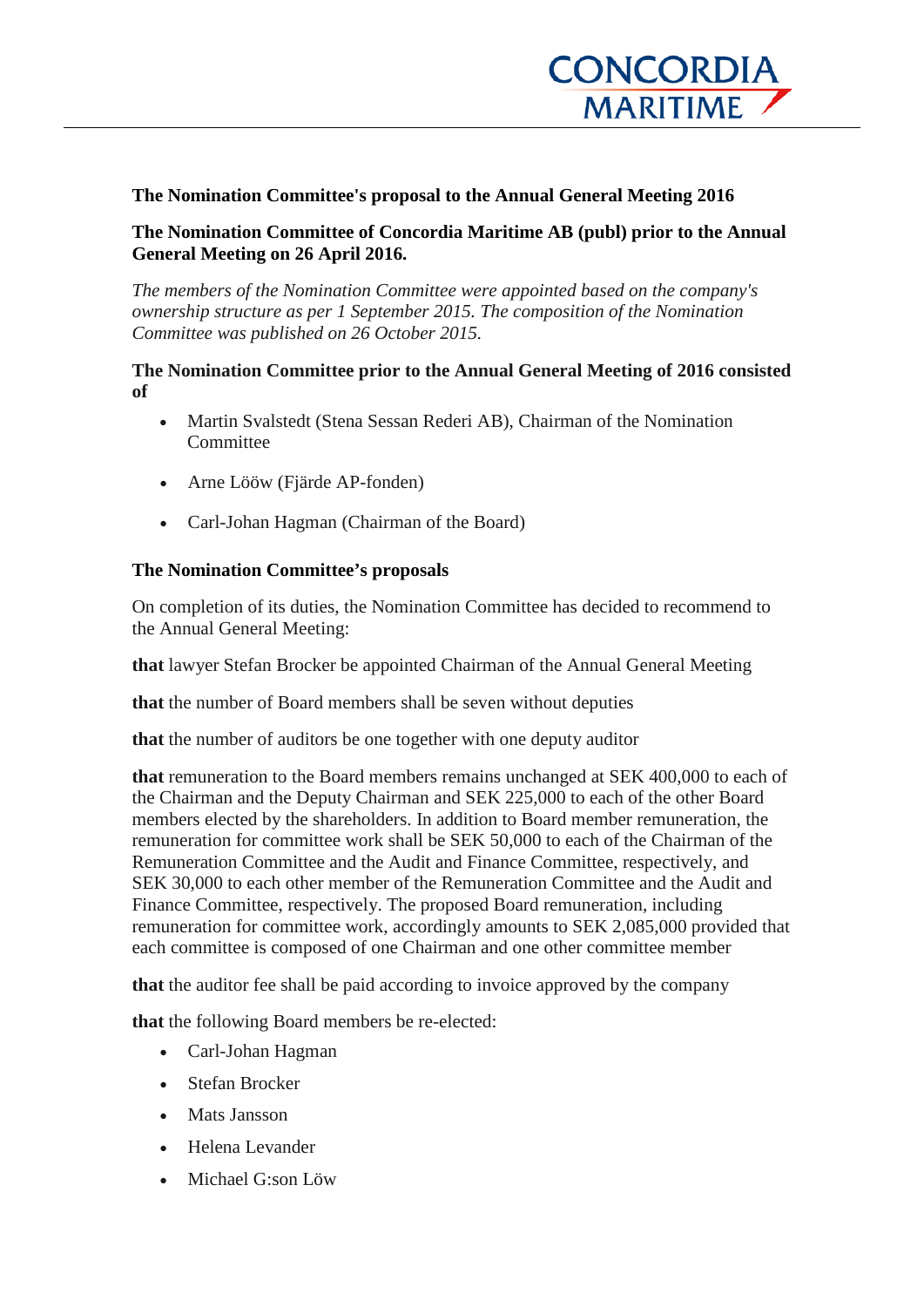

### **The Nomination Committee's proposal to the Annual General Meeting 2016**

**The Nomination Committee of Concordia Maritime AB (publ) prior to the Annual General Meeting on 26 April 2016.**

*The members of the Nomination Committee were appointed based on the company's ownership structure as per 1 September 2015. The composition of the Nomination Committee was published on 26 October 2015.*

#### **The Nomination Committee prior to the Annual General Meeting of 2016 consisted of**

- Martin Svalstedt (Stena Sessan Rederi AB), Chairman of the Nomination Committee
- Arne Lööw (Fjärde AP-fonden)
- Carl-Johan Hagman (Chairman of the Board)

#### **The Nomination Committee's proposals**

On completion of its duties, the Nomination Committee has decided to recommend to the Annual General Meeting:

**that** lawyer Stefan Brocker be appointed Chairman of the Annual General Meeting

**that** the number of Board members shall be seven without deputies

**that** the number of auditors be one together with one deputy auditor

**that** remuneration to the Board members remains unchanged at SEK 400,000 to each of the Chairman and the Deputy Chairman and SEK 225,000 to each of the other Board members elected by the shareholders. In addition to Board member remuneration, the remuneration for committee work shall be SEK 50,000 to each of the Chairman of the Remuneration Committee and the Audit and Finance Committee, respectively, and SEK 30,000 to each other member of the Remuneration Committee and the Audit and Finance Committee, respectively. The proposed Board remuneration, including remuneration for committee work, accordingly amounts to SEK 2,085,000 provided that each committee is composed of one Chairman and one other committee member

**that** the auditor fee shall be paid according to invoice approved by the company

**that** the following Board members be re-elected:

- Carl-Johan Hagman
- Stefan Brocker
- Mats Jansson
- Helena Levander
- Michael G:son Löw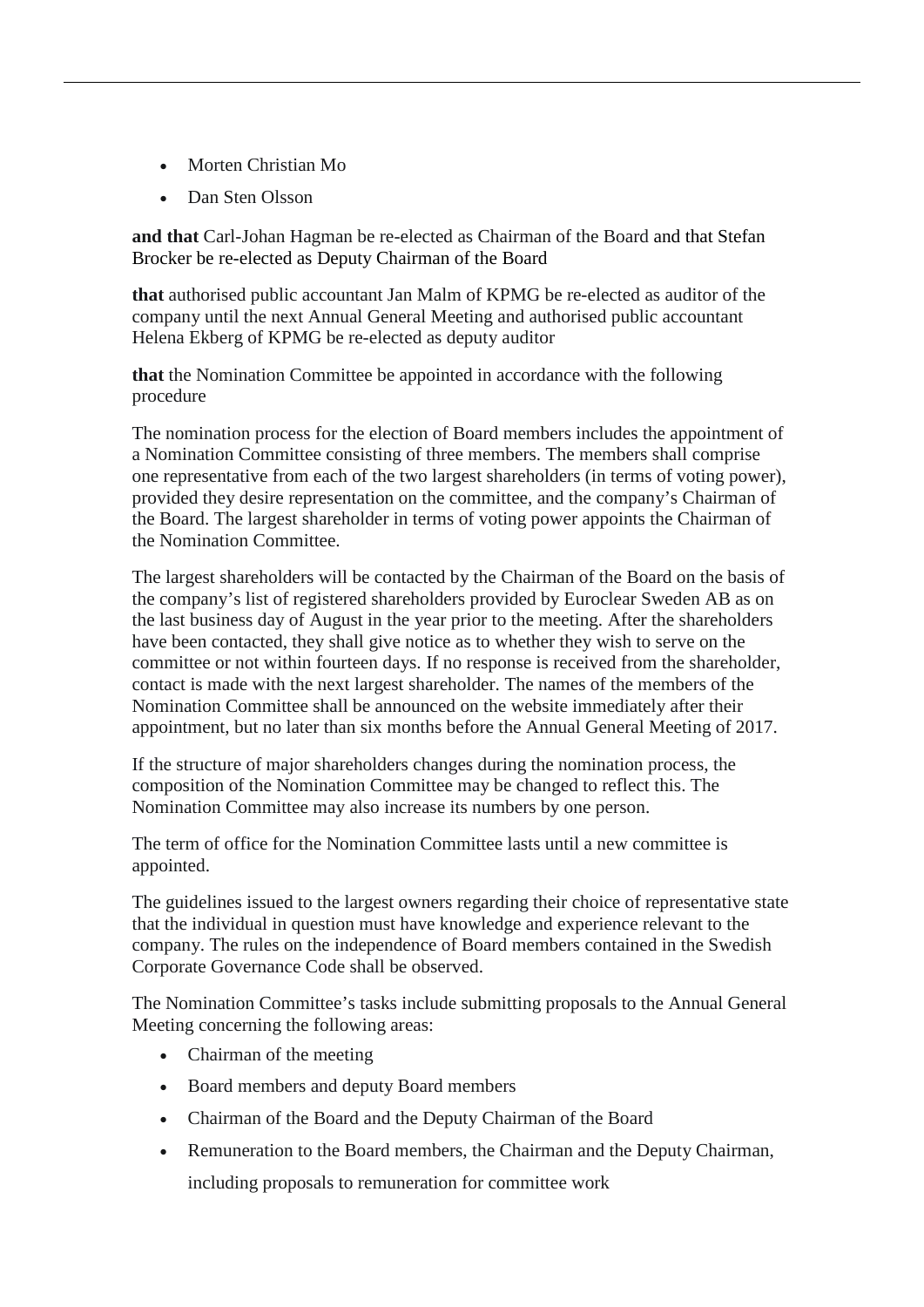- Morten Christian Mo
- Dan Sten Olsson

**and that** Carl-Johan Hagman be re-elected as Chairman of the Board and that Stefan Brocker be re-elected as Deputy Chairman of the Board

**that** authorised public accountant Jan Malm of KPMG be re-elected as auditor of the company until the next Annual General Meeting and authorised public accountant Helena Ekberg of KPMG be re-elected as deputy auditor

**that** the Nomination Committee be appointed in accordance with the following procedure

The nomination process for the election of Board members includes the appointment of a Nomination Committee consisting of three members. The members shall comprise one representative from each of the two largest shareholders (in terms of voting power), provided they desire representation on the committee, and the company's Chairman of the Board. The largest shareholder in terms of voting power appoints the Chairman of the Nomination Committee.

The largest shareholders will be contacted by the Chairman of the Board on the basis of the company's list of registered shareholders provided by Euroclear Sweden AB as on the last business day of August in the year prior to the meeting. After the shareholders have been contacted, they shall give notice as to whether they wish to serve on the committee or not within fourteen days. If no response is received from the shareholder, contact is made with the next largest shareholder. The names of the members of the Nomination Committee shall be announced on the website immediately after their appointment, but no later than six months before the Annual General Meeting of 2017.

If the structure of major shareholders changes during the nomination process, the composition of the Nomination Committee may be changed to reflect this. The Nomination Committee may also increase its numbers by one person.

The term of office for the Nomination Committee lasts until a new committee is appointed.

The guidelines issued to the largest owners regarding their choice of representative state that the individual in question must have knowledge and experience relevant to the company. The rules on the independence of Board members contained in the Swedish Corporate Governance Code shall be observed.

The Nomination Committee's tasks include submitting proposals to the Annual General Meeting concerning the following areas:

- Chairman of the meeting
- Board members and deputy Board members
- Chairman of the Board and the Deputy Chairman of the Board
- Remuneration to the Board members, the Chairman and the Deputy Chairman, including proposals to remuneration for committee work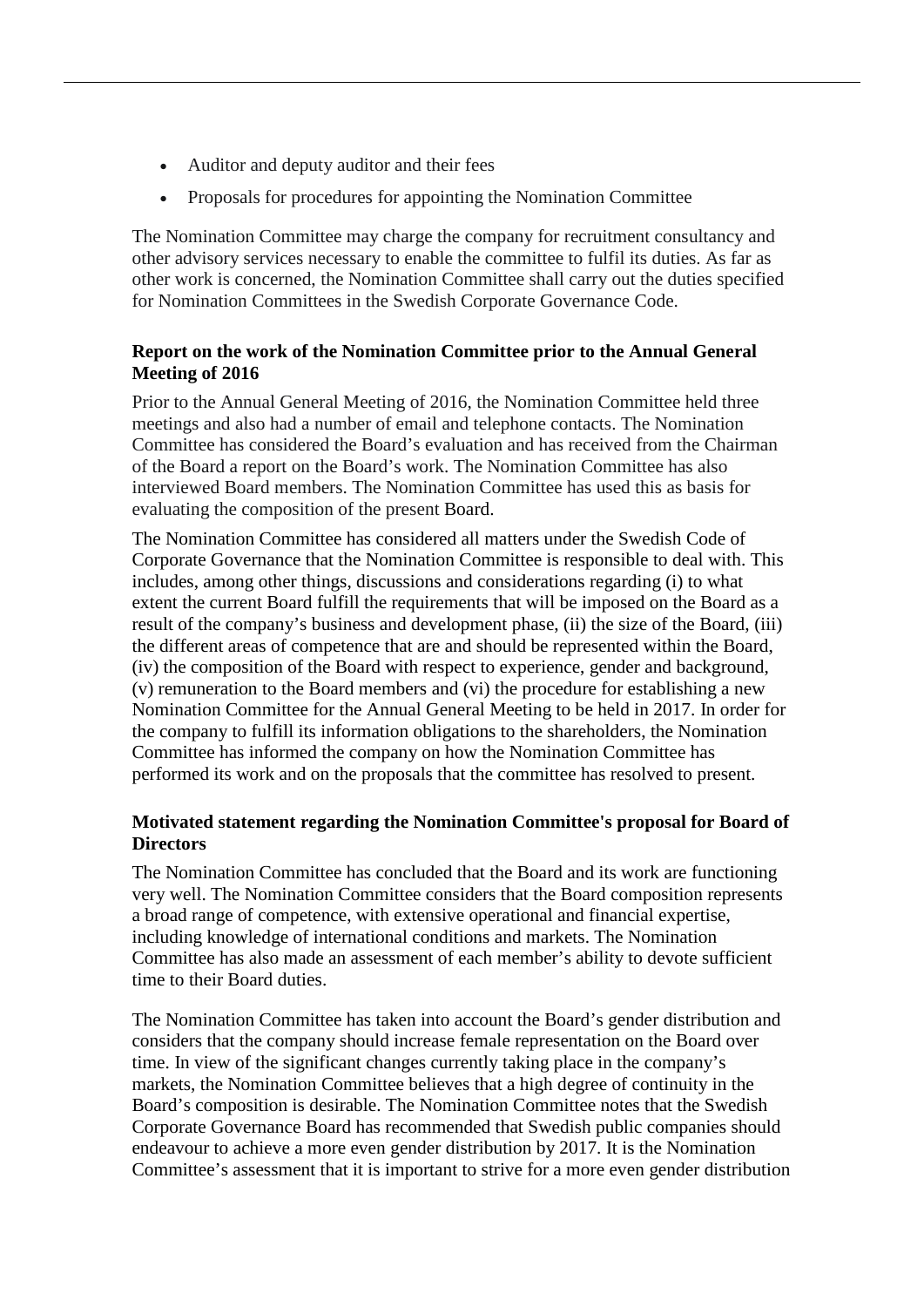- Auditor and deputy auditor and their fees
- Proposals for procedures for appointing the Nomination Committee

The Nomination Committee may charge the company for recruitment consultancy and other advisory services necessary to enable the committee to fulfil its duties. As far as other work is concerned, the Nomination Committee shall carry out the duties specified for Nomination Committees in the Swedish Corporate Governance Code.

## **Report on the work of the Nomination Committee prior to the Annual General Meeting of 2016**

Prior to the Annual General Meeting of 2016, the Nomination Committee held three meetings and also had a number of email and telephone contacts. The Nomination Committee has considered the Board's evaluation and has received from the Chairman of the Board a report on the Board's work. The Nomination Committee has also interviewed Board members. The Nomination Committee has used this as basis for evaluating the composition of the present Board.

The Nomination Committee has considered all matters under the Swedish Code of Corporate Governance that the Nomination Committee is responsible to deal with. This includes, among other things, discussions and considerations regarding (i) to what extent the current Board fulfill the requirements that will be imposed on the Board as a result of the company's business and development phase, (ii) the size of the Board, (iii) the different areas of competence that are and should be represented within the Board, (iv) the composition of the Board with respect to experience, gender and background, (v) remuneration to the Board members and (vi) the procedure for establishing a new Nomination Committee for the Annual General Meeting to be held in 2017. In order for the company to fulfill its information obligations to the shareholders, the Nomination Committee has informed the company on how the Nomination Committee has performed its work and on the proposals that the committee has resolved to present.

# **Motivated statement regarding the Nomination Committee's proposal for Board of Directors**

The Nomination Committee has concluded that the Board and its work are functioning very well. The Nomination Committee considers that the Board composition represents a broad range of competence, with extensive operational and financial expertise, including knowledge of international conditions and markets. The Nomination Committee has also made an assessment of each member's ability to devote sufficient time to their Board duties.

The Nomination Committee has taken into account the Board's gender distribution and considers that the company should increase female representation on the Board over time. In view of the significant changes currently taking place in the company's markets, the Nomination Committee believes that a high degree of continuity in the Board's composition is desirable. The Nomination Committee notes that the Swedish Corporate Governance Board has recommended that Swedish public companies should endeavour to achieve a more even gender distribution by 2017. It is the Nomination Committee's assessment that it is important to strive for a more even gender distribution